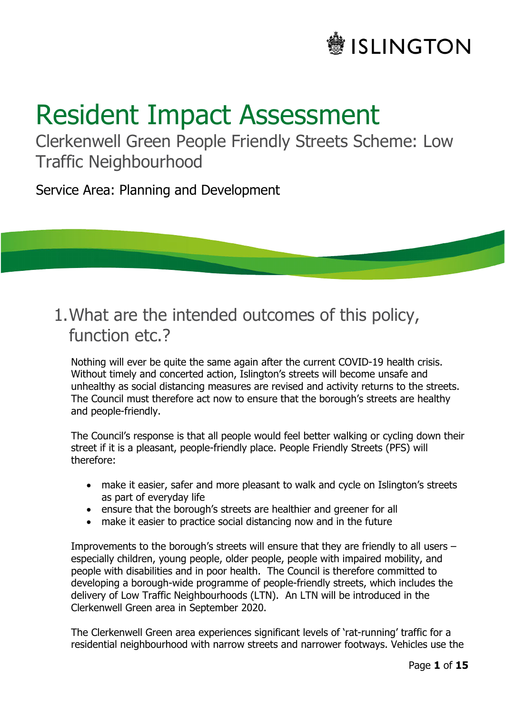

# Resident Impact Assessment

Clerkenwell Green People Friendly Streets Scheme: Low Traffic Neighbourhood

Service Area: Planning and Development

### 1.What are the intended outcomes of this policy, function etc.?

Nothing will ever be quite the same again after the current COVID-19 health crisis. Without timely and concerted action, Islington's streets will become unsafe and unhealthy as social distancing measures are revised and activity returns to the streets. The Council must therefore act now to ensure that the borough's streets are healthy and people-friendly.

The Council's response is that all people would feel better walking or cycling down their street if it is a pleasant, people-friendly place. People Friendly Streets (PFS) will therefore:

- make it easier, safer and more pleasant to walk and cycle on Islington's streets as part of everyday life
- ensure that the borough's streets are healthier and greener for all
- make it easier to practice social distancing now and in the future

Improvements to the borough's streets will ensure that they are friendly to all users – especially children, young people, older people, people with impaired mobility, and people with disabilities and in poor health. The Council is therefore committed to developing a borough-wide programme of people-friendly streets, which includes the delivery of Low Traffic Neighbourhoods (LTN). An LTN will be introduced in the Clerkenwell Green area in September 2020.

The Clerkenwell Green area experiences significant levels of 'rat-running' traffic for a residential neighbourhood with narrow streets and narrower footways. Vehicles use the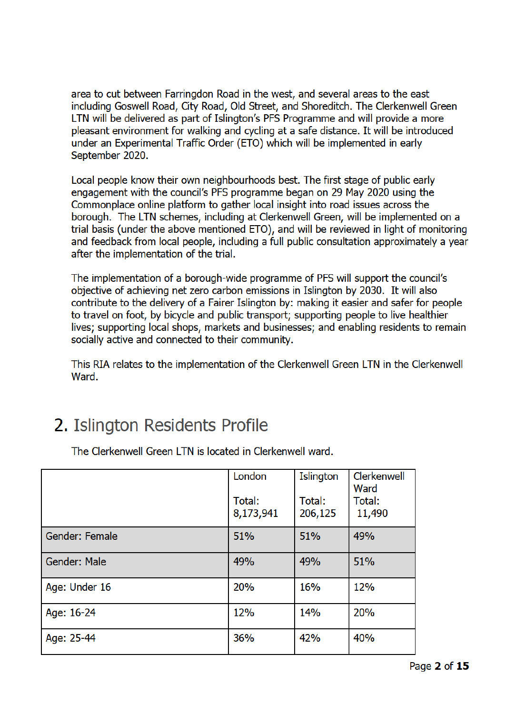area to cut between Farringdon Road in the west, and several areas to the east including Goswell Road, City Road, Old Street, and Shoreditch. The Clerkenwell Green LTN will be delivered as part of Islington's PFS Programme and will provide a more pleasant environment for walking and cycling at a safe distance. It will be introduced under an Experimental Traffic Order (ETO) which will be implemented in early September 2020.

Local people know their own neighbourhoods best. The first stage of public early engagement with the council's PFS programme began on 29 May 2020 using the Commonplace online platform to gather local insight into road issues across the borough. The LTN schemes, including at Clerkenwell Green, will be implemented on a trial basis (under the above mentioned ETO), and will be reviewed in light of monitoring and feedback from local people, including a full public consultation approximately a year after the implementation of the trial.

The implementation of a borough-wide programme of PFS will support the council's objective of achieving net zero carbon emissions in Islington by 2030. It will also contribute to the delivery of a Fairer Islington by: making it easier and safer for people to travel on foot, by bicycle and public transport; supporting people to live healthier lives; supporting local shops, markets and businesses; and enabling residents to remain socially active and connected to their community.

This RIA relates to the implementation of the Clerkenwell Green LTN in the Clerkenwell Ward.

# 2. Islington Residents Profile

|                | London<br>Total:<br>8,173,941 | Islington<br>Total:<br>206,125 | Clerkenwell<br>Ward<br>Total:<br>11,490 |
|----------------|-------------------------------|--------------------------------|-----------------------------------------|
| Gender: Female | 51%                           | 51%                            | 49%                                     |
| Gender: Male   | 49%                           | 49%                            | 51%                                     |
| Age: Under 16  | 20%                           | 16%                            | 12%                                     |
| Age: 16-24     | 12%                           | <b>14%</b>                     | 20%                                     |
| Age: 25-44     | 36%                           | 42%                            | 40%                                     |

The Clerkenwell Green LTN is located in Clerkenwell ward.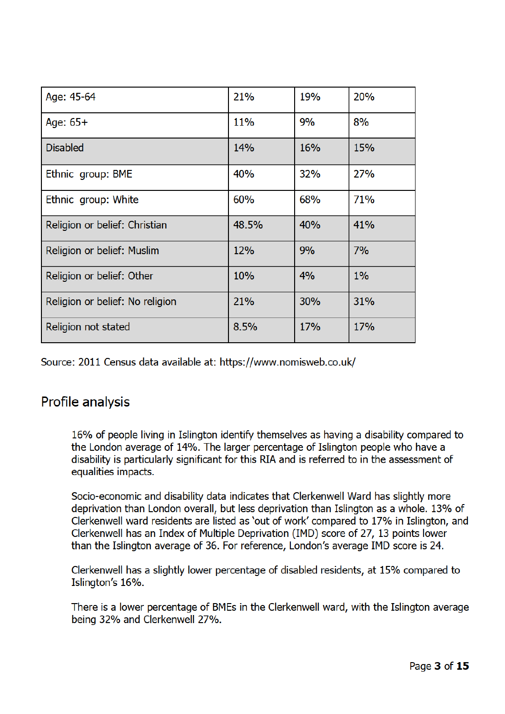| Age: 45-64                      | 21%        | 19%        | 20%        |
|---------------------------------|------------|------------|------------|
| Age: $65+$                      | <b>11%</b> | 9%         | 8%         |
| <b>Disabled</b>                 | <b>14%</b> | 16%        | <b>15%</b> |
| Ethnic group: BME               | 40%        | <b>32%</b> | 27%        |
| Ethnic group: White             | 60%        | 68%        | <b>71%</b> |
| Religion or belief: Christian   | 48.5%      | 40%        | 41%        |
| Religion or belief: Muslim      | 12%        | 9%         | 7%         |
| Religion or belief: Other       | 10%        | 4%         | $1\%$      |
| Religion or belief: No religion | 21%        | <b>30%</b> | 31%        |
| Religion not stated             | 8.5%       | <b>17%</b> | 17%        |

Source: 2011 Census data available at: https://www.nomisweb.co.uk/

#### Profile analysis

16% of people living in Islington identify themselves as having a disability compared to the London average of 14%. The larger percentage of Islington people who have a disability is particularly significant for this RIA and is referred to in the assessment of equalities impacts.

Socio-economic and disability data indicates that Clerkenwell Ward has slightly more deprivation than London overall, but less deprivation than Islington as a whole. 13% of Clerkenwell ward residents are listed as 'out of work' compared to 17% in Islington, and Clerkenwell has an Index of Multiple Deprivation (IMD) score of 27, 13 points lower than the Islington average of 36. For reference, London's average IMD score is 24.

Clerkenwell has a slightly lower percentage of disabled residents, at 15% compared to Islington's 16%.

There is a lower percentage of BMEs in the Clerkenwell ward, with the Islington average being 32% and Clerkenwell 27%.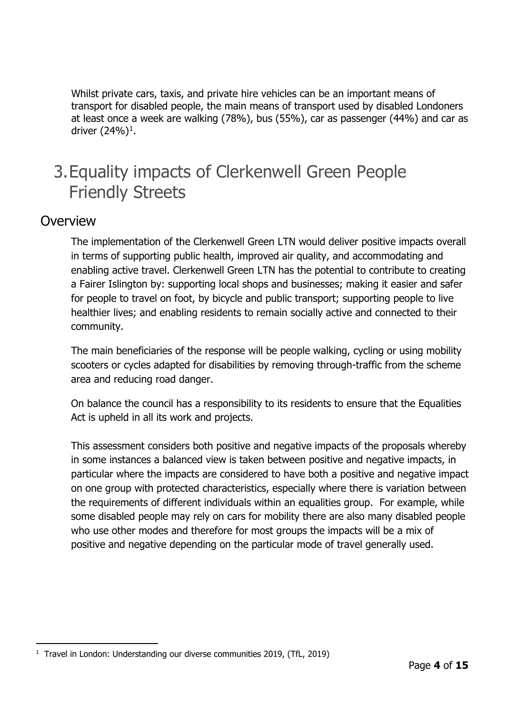Whilst private cars, taxis, and private hire vehicles can be an important means of transport for disabled people, the main means of transport used by disabled Londoners at least once a week are walking (78%), bus (55%), car as passenger (44%) and car as driver  $(24%)<sup>1</sup>$ .

# 3.Equality impacts of Clerkenwell Green People Friendly Streets

#### **Overview**

The implementation of the Clerkenwell Green LTN would deliver positive impacts overall in terms of supporting public health, improved air quality, and accommodating and enabling active travel. Clerkenwell Green LTN has the potential to contribute to creating a Fairer Islington by: supporting local shops and businesses; making it easier and safer for people to travel on foot, by bicycle and public transport; supporting people to live healthier lives; and enabling residents to remain socially active and connected to their community.

The main beneficiaries of the response will be people walking, cycling or using mobility scooters or cycles adapted for disabilities by removing through-traffic from the scheme area and reducing road danger.

On balance the council has a responsibility to its residents to ensure that the Equalities Act is upheld in all its work and projects.

This assessment considers both positive and negative impacts of the proposals whereby in some instances a balanced view is taken between positive and negative impacts, in particular where the impacts are considered to have both a positive and negative impact on one group with protected characteristics, especially where there is variation between the requirements of different individuals within an equalities group. For example, while some disabled people may rely on cars for mobility there are also many disabled people who use other modes and therefore for most groups the impacts will be a mix of positive and negative depending on the particular mode of travel generally used.

ł <sup>1</sup> Travel in London: Understanding our diverse communities 2019, (TfL, 2019)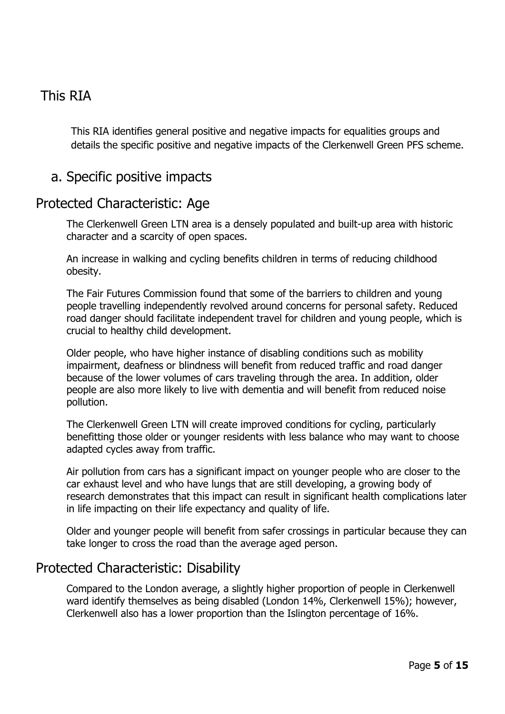#### This RIA

This RIA identifies general positive and negative impacts for equalities groups and details the specific positive and negative impacts of the Clerkenwell Green PFS scheme.

#### a. Specific positive impacts

#### Protected Characteristic: Age

The Clerkenwell Green LTN area is a densely populated and built-up area with historic character and a scarcity of open spaces.

An increase in walking and cycling benefits children in terms of reducing childhood obesity.

The Fair Futures Commission found that some of the barriers to children and young people travelling independently revolved around concerns for personal safety. Reduced road danger should facilitate independent travel for children and young people, which is crucial to healthy child development.

Older people, who have higher instance of disabling conditions such as mobility impairment, deafness or blindness will benefit from reduced traffic and road danger because of the lower volumes of cars traveling through the area. In addition, older people are also more likely to live with dementia and will benefit from reduced noise pollution.

The Clerkenwell Green LTN will create improved conditions for cycling, particularly benefitting those older or younger residents with less balance who may want to choose adapted cycles away from traffic.

Air pollution from cars has a significant impact on younger people who are closer to the car exhaust level and who have lungs that are still developing, a growing body of research demonstrates that this impact can result in significant health complications later in life impacting on their life expectancy and quality of life.

Older and younger people will benefit from safer crossings in particular because they can take longer to cross the road than the average aged person.

#### Protected Characteristic: Disability

Compared to the London average, a slightly higher proportion of people in Clerkenwell ward identify themselves as being disabled (London 14%, Clerkenwell 15%); however, Clerkenwell also has a lower proportion than the Islington percentage of 16%.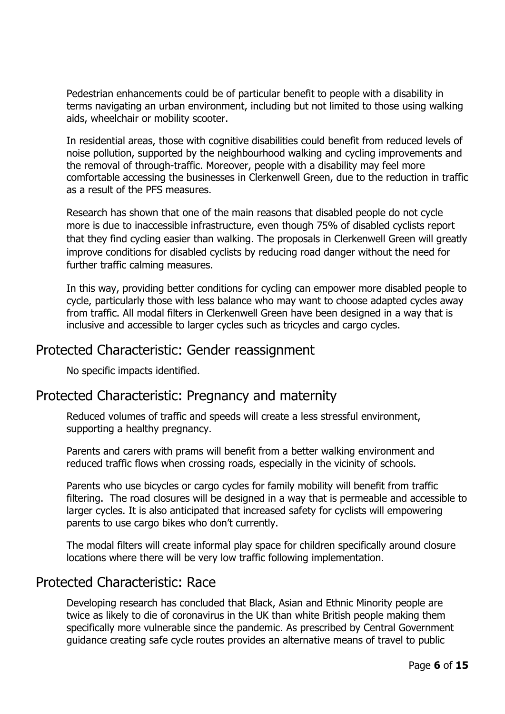Pedestrian enhancements could be of particular benefit to people with a disability in terms navigating an urban environment, including but not limited to those using walking aids, wheelchair or mobility scooter.

In residential areas, those with cognitive disabilities could benefit from reduced levels of noise pollution, supported by the neighbourhood walking and cycling improvements and the removal of through-traffic. Moreover, people with a disability may feel more comfortable accessing the businesses in Clerkenwell Green, due to the reduction in traffic as a result of the PFS measures.

Research has shown that one of the main reasons that disabled people do not cycle more is due to inaccessible infrastructure, even though 75% of disabled cyclists report that they find cycling easier than walking. The proposals in Clerkenwell Green will greatly improve conditions for disabled cyclists by reducing road danger without the need for further traffic calming measures.

In this way, providing better conditions for cycling can empower more disabled people to cycle, particularly those with less balance who may want to choose adapted cycles away from traffic. All modal filters in Clerkenwell Green have been designed in a way that is inclusive and accessible to larger cycles such as tricycles and cargo cycles.

#### Protected Characteristic: Gender reassignment

No specific impacts identified.

#### Protected Characteristic: Pregnancy and maternity

Reduced volumes of traffic and speeds will create a less stressful environment, supporting a healthy pregnancy.

Parents and carers with prams will benefit from a better walking environment and reduced traffic flows when crossing roads, especially in the vicinity of schools.

Parents who use bicycles or cargo cycles for family mobility will benefit from traffic filtering. The road closures will be designed in a way that is permeable and accessible to larger cycles. It is also anticipated that increased safety for cyclists will empowering parents to use cargo bikes who don't currently.

The modal filters will create informal play space for children specifically around closure locations where there will be very low traffic following implementation.

#### Protected Characteristic: Race

Developing research has concluded that Black, Asian and Ethnic Minority people are twice as likely to die of coronavirus in the UK than white British people making them specifically more vulnerable since the pandemic. As prescribed by Central Government guidance creating safe cycle routes provides an alternative means of travel to public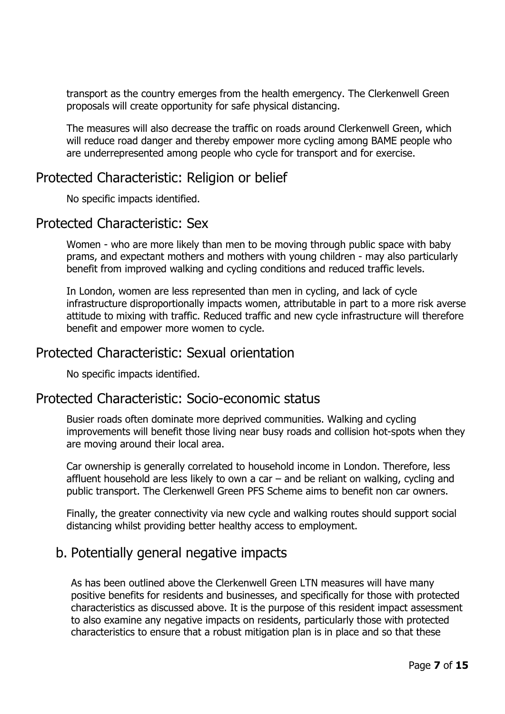transport as the country emerges from the health emergency. The Clerkenwell Green proposals will create opportunity for safe physical distancing.

The measures will also decrease the traffic on roads around Clerkenwell Green, which will reduce road danger and thereby empower more cycling among BAME people who are underrepresented among people who cycle for transport and for exercise.

#### Protected Characteristic: Religion or belief

No specific impacts identified.

#### Protected Characteristic: Sex

Women - who are more likely than men to be moving through public space with baby prams, and expectant mothers and mothers with young children - may also particularly benefit from improved walking and cycling conditions and reduced traffic levels.

In London, women are less represented than men in cycling, and lack of cycle infrastructure disproportionally impacts women, attributable in part to a more risk averse attitude to mixing with traffic. Reduced traffic and new cycle infrastructure will therefore benefit and empower more women to cycle.

#### Protected Characteristic: Sexual orientation

No specific impacts identified.

#### Protected Characteristic: Socio-economic status

Busier roads often dominate more deprived communities. Walking and cycling improvements will benefit those living near busy roads and collision hot-spots when they are moving around their local area.

Car ownership is generally correlated to household income in London. Therefore, less affluent household are less likely to own a car – and be reliant on walking, cycling and public transport. The Clerkenwell Green PFS Scheme aims to benefit non car owners.

Finally, the greater connectivity via new cycle and walking routes should support social distancing whilst providing better healthy access to employment.

#### b. Potentially general negative impacts

As has been outlined above the Clerkenwell Green LTN measures will have many positive benefits for residents and businesses, and specifically for those with protected characteristics as discussed above. It is the purpose of this resident impact assessment to also examine any negative impacts on residents, particularly those with protected characteristics to ensure that a robust mitigation plan is in place and so that these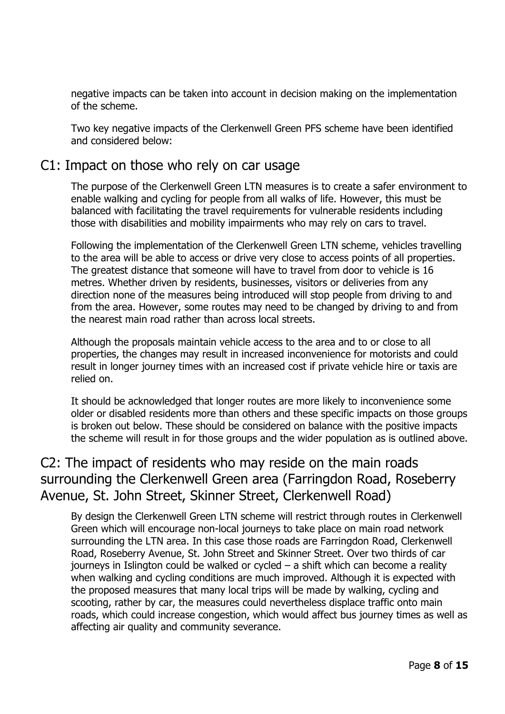negative impacts can be taken into account in decision making on the implementation of the scheme.

Two key negative impacts of the Clerkenwell Green PFS scheme have been identified and considered below:

#### C1: Impact on those who rely on car usage

The purpose of the Clerkenwell Green LTN measures is to create a safer environment to enable walking and cycling for people from all walks of life. However, this must be balanced with facilitating the travel requirements for vulnerable residents including those with disabilities and mobility impairments who may rely on cars to travel.

Following the implementation of the Clerkenwell Green LTN scheme, vehicles travelling to the area will be able to access or drive very close to access points of all properties. The greatest distance that someone will have to travel from door to vehicle is 16 metres. Whether driven by residents, businesses, visitors or deliveries from any direction none of the measures being introduced will stop people from driving to and from the area. However, some routes may need to be changed by driving to and from the nearest main road rather than across local streets.

Although the proposals maintain vehicle access to the area and to or close to all properties, the changes may result in increased inconvenience for motorists and could result in longer journey times with an increased cost if private vehicle hire or taxis are relied on.

It should be acknowledged that longer routes are more likely to inconvenience some older or disabled residents more than others and these specific impacts on those groups is broken out below. These should be considered on balance with the positive impacts the scheme will result in for those groups and the wider population as is outlined above.

### C2: The impact of residents who may reside on the main roads surrounding the Clerkenwell Green area (Farringdon Road, Roseberry Avenue, St. John Street, Skinner Street, Clerkenwell Road)

By design the Clerkenwell Green LTN scheme will restrict through routes in Clerkenwell Green which will encourage non-local journeys to take place on main road network surrounding the LTN area. In this case those roads are Farringdon Road, Clerkenwell Road, Roseberry Avenue, St. John Street and Skinner Street. Over two thirds of car journeys in Islington could be walked or cycled – a shift which can become a reality when walking and cycling conditions are much improved. Although it is expected with the proposed measures that many local trips will be made by walking, cycling and scooting, rather by car, the measures could nevertheless displace traffic onto main roads, which could increase congestion, which would affect bus journey times as well as affecting air quality and community severance.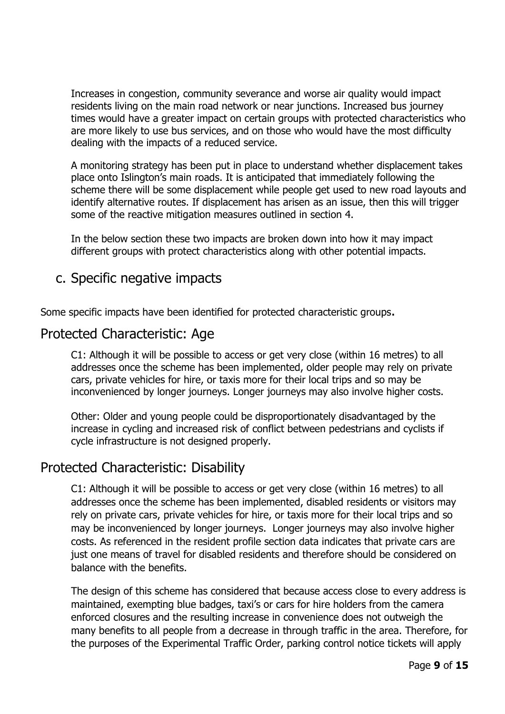Increases in congestion, community severance and worse air quality would impact residents living on the main road network or near junctions. Increased bus journey times would have a greater impact on certain groups with protected characteristics who are more likely to use bus services, and on those who would have the most difficulty dealing with the impacts of a reduced service.

A monitoring strategy has been put in place to understand whether displacement takes place onto Islington's main roads. It is anticipated that immediately following the scheme there will be some displacement while people get used to new road layouts and identify alternative routes. If displacement has arisen as an issue, then this will trigger some of the reactive mitigation measures outlined in section 4.

In the below section these two impacts are broken down into how it may impact different groups with protect characteristics along with other potential impacts.

#### c. Specific negative impacts

Some specific impacts have been identified for protected characteristic groups.

#### Protected Characteristic: Age

C1: Although it will be possible to access or get very close (within 16 metres) to all addresses once the scheme has been implemented, older people may rely on private cars, private vehicles for hire, or taxis more for their local trips and so may be inconvenienced by longer journeys. Longer journeys may also involve higher costs.

Other: Older and young people could be disproportionately disadvantaged by the increase in cycling and increased risk of conflict between pedestrians and cyclists if cycle infrastructure is not designed properly.

#### Protected Characteristic: Disability

C1: Although it will be possible to access or get very close (within 16 metres) to all addresses once the scheme has been implemented, disabled residents or visitors may rely on private cars, private vehicles for hire, or taxis more for their local trips and so may be inconvenienced by longer journeys. Longer journeys may also involve higher costs. As referenced in the resident profile section data indicates that private cars are just one means of travel for disabled residents and therefore should be considered on balance with the benefits.

The design of this scheme has considered that because access close to every address is maintained, exempting blue badges, taxi's or cars for hire holders from the camera enforced closures and the resulting increase in convenience does not outweigh the many benefits to all people from a decrease in through traffic in the area. Therefore, for the purposes of the Experimental Traffic Order, parking control notice tickets will apply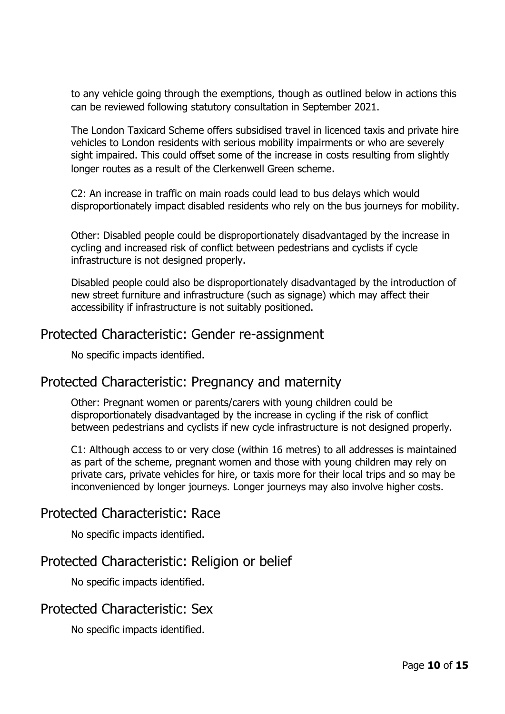to any vehicle going through the exemptions, though as outlined below in actions this can be reviewed following statutory consultation in September 2021.

The London Taxicard Scheme offers subsidised travel in licenced taxis and private hire vehicles to London residents with serious mobility impairments or who are severely sight impaired. This could offset some of the increase in costs resulting from slightly longer routes as a result of the Clerkenwell Green scheme.

C2: An increase in traffic on main roads could lead to bus delays which would disproportionately impact disabled residents who rely on the bus journeys for mobility.

Other: Disabled people could be disproportionately disadvantaged by the increase in cycling and increased risk of conflict between pedestrians and cyclists if cycle infrastructure is not designed properly.

Disabled people could also be disproportionately disadvantaged by the introduction of new street furniture and infrastructure (such as signage) which may affect their accessibility if infrastructure is not suitably positioned.

#### Protected Characteristic: Gender re-assignment

No specific impacts identified.

#### Protected Characteristic: Pregnancy and maternity

Other: Pregnant women or parents/carers with young children could be disproportionately disadvantaged by the increase in cycling if the risk of conflict between pedestrians and cyclists if new cycle infrastructure is not designed properly.

C1: Although access to or very close (within 16 metres) to all addresses is maintained as part of the scheme, pregnant women and those with young children may rely on private cars, private vehicles for hire, or taxis more for their local trips and so may be inconvenienced by longer journeys. Longer journeys may also involve higher costs.

#### Protected Characteristic: Race

No specific impacts identified.

#### Protected Characteristic: Religion or belief

No specific impacts identified.

#### Protected Characteristic: Sex

No specific impacts identified.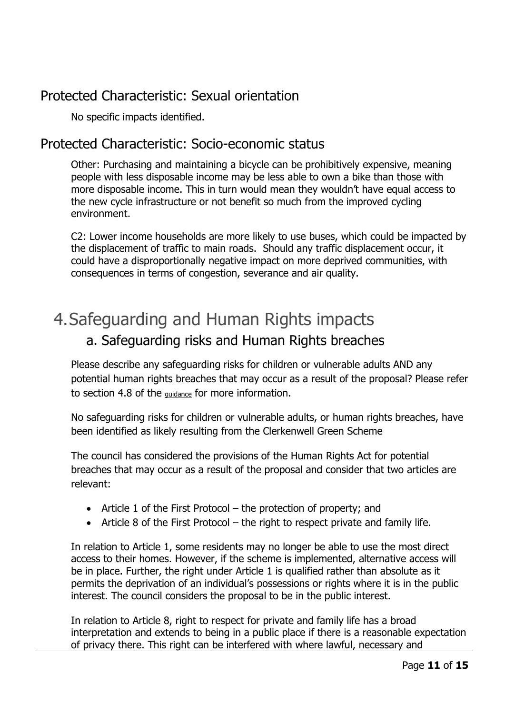### Protected Characteristic: Sexual orientation

No specific impacts identified.

#### Protected Characteristic: Socio-economic status

Other: Purchasing and maintaining a bicycle can be prohibitively expensive, meaning people with less disposable income may be less able to own a bike than those with more disposable income. This in turn would mean they wouldn't have equal access to the new cycle infrastructure or not benefit so much from the improved cycling environment.

C2: Lower income households are more likely to use buses, which could be impacted by the displacement of traffic to main roads. Should any traffic displacement occur, it could have a disproportionally negative impact on more deprived communities, with consequences in terms of congestion, severance and air quality.

### 4.Safeguarding and Human Rights impacts a. Safeguarding risks and Human Rights breaches

Please describe any safeguarding risks for children or vulnerable adults AND any potential human rights breaches that may occur as a result of the proposal? Please refer to section 4.8 of the guidance for more information.

No safeguarding risks for children or vulnerable adults, or human rights breaches, have been identified as likely resulting from the Clerkenwell Green Scheme

The council has considered the provisions of the Human Rights Act for potential breaches that may occur as a result of the proposal and consider that two articles are relevant:

- Article 1 of the First Protocol the protection of property; and
- Article 8 of the First Protocol the right to respect private and family life.

In relation to Article 1, some residents may no longer be able to use the most direct access to their homes. However, if the scheme is implemented, alternative access will be in place. Further, the right under Article 1 is qualified rather than absolute as it permits the deprivation of an individual's possessions or rights where it is in the public interest. The council considers the proposal to be in the public interest.

In relation to Article 8, right to respect for private and family life has a broad interpretation and extends to being in a public place if there is a reasonable expectation of privacy there. This right can be interfered with where lawful, necessary and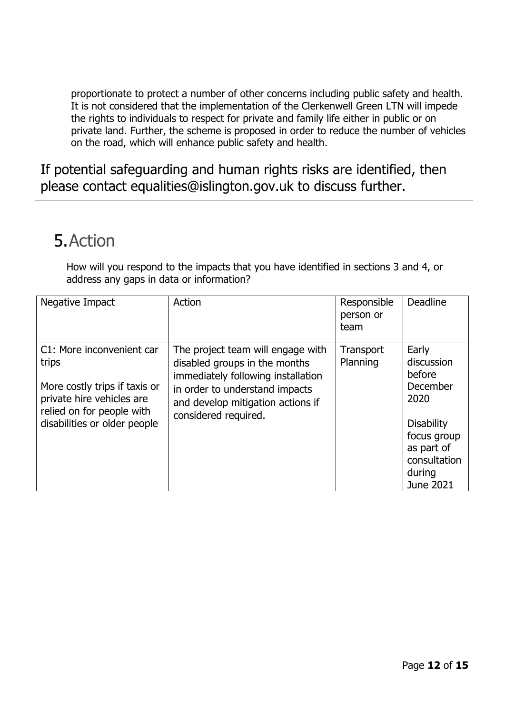proportionate to protect a number of other concerns including public safety and health. It is not considered that the implementation of the Clerkenwell Green LTN will impede the rights to individuals to respect for private and family life either in public or on private land. Further, the scheme is proposed in order to reduce the number of vehicles on the road, which will enhance public safety and health.

If potential safeguarding and human rights risks are identified, then please contact equalities@islington.gov.uk to discuss further.

### 5.Action

How will you respond to the impacts that you have identified in sections 3 and 4, or address any gaps in data or information?

| Negative Impact                                                                                                                                               | Action                                                                                                                                                                                                  | Responsible<br>person or<br>team | <b>Deadline</b>                                                                                                                            |
|---------------------------------------------------------------------------------------------------------------------------------------------------------------|---------------------------------------------------------------------------------------------------------------------------------------------------------------------------------------------------------|----------------------------------|--------------------------------------------------------------------------------------------------------------------------------------------|
| C1: More inconvenient car<br>trips<br>More costly trips if taxis or<br>private hire vehicles are<br>relied on for people with<br>disabilities or older people | The project team will engage with<br>disabled groups in the months<br>immediately following installation<br>in order to understand impacts<br>and develop mitigation actions if<br>considered required. | Transport<br>Planning            | Early<br>discussion<br>before<br>December<br>2020<br><b>Disability</b><br>focus group<br>as part of<br>consultation<br>during<br>June 2021 |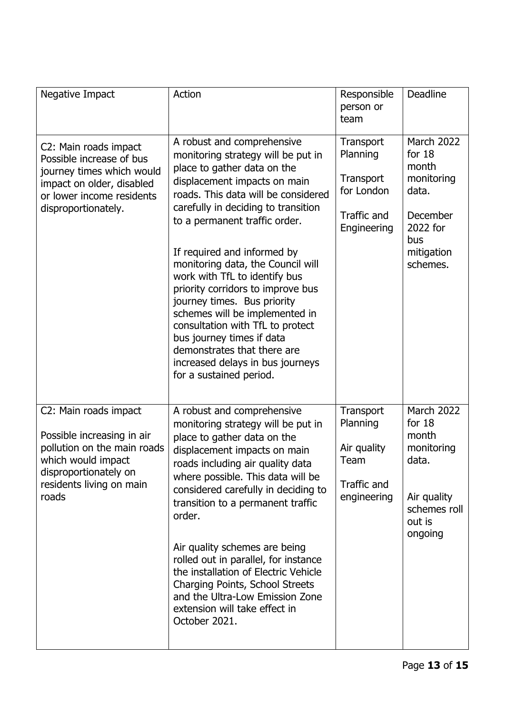| Negative Impact                                                                                                                                                        | Action                                                                                                                                                                                                                                                                                                                                                                                                                                                                                                                                                                                                                   | Responsible<br>person or<br>team                                               | <b>Deadline</b>                                                                                                 |
|------------------------------------------------------------------------------------------------------------------------------------------------------------------------|--------------------------------------------------------------------------------------------------------------------------------------------------------------------------------------------------------------------------------------------------------------------------------------------------------------------------------------------------------------------------------------------------------------------------------------------------------------------------------------------------------------------------------------------------------------------------------------------------------------------------|--------------------------------------------------------------------------------|-----------------------------------------------------------------------------------------------------------------|
| C2: Main roads impact<br>Possible increase of bus<br>journey times which would<br>impact on older, disabled<br>or lower income residents<br>disproportionately.        | A robust and comprehensive<br>monitoring strategy will be put in<br>place to gather data on the<br>displacement impacts on main<br>roads. This data will be considered<br>carefully in deciding to transition<br>to a permanent traffic order.<br>If required and informed by<br>monitoring data, the Council will<br>work with TfL to identify bus<br>priority corridors to improve bus<br>journey times. Bus priority<br>schemes will be implemented in<br>consultation with TfL to protect<br>bus journey times if data<br>demonstrates that there are<br>increased delays in bus journeys<br>for a sustained period. | Transport<br>Planning<br>Transport<br>for London<br>Traffic and<br>Engineering | March 2022<br>for $18$<br>month<br>monitoring<br>data.<br>December<br>2022 for<br>bus<br>mitigation<br>schemes. |
| C2: Main roads impact<br>Possible increasing in air<br>pollution on the main roads<br>which would impact<br>disproportionately on<br>residents living on main<br>roads | A robust and comprehensive<br>monitoring strategy will be put in<br>place to gather data on the<br>displacement impacts on main<br>roads including air quality data<br>where possible. This data will be<br>considered carefully in deciding to<br>transition to a permanent traffic<br>order.<br>Air quality schemes are being<br>rolled out in parallel, for instance<br>the installation of Electric Vehicle<br>Charging Points, School Streets<br>and the Ultra-Low Emission Zone<br>extension will take effect in<br>October 2021.                                                                                  | Transport<br>Planning<br>Air quality<br>Team<br>Traffic and<br>engineering     | March 2022<br>for $18$<br>month<br>monitoring<br>data.<br>Air quality<br>schemes roll<br>out is<br>ongoing      |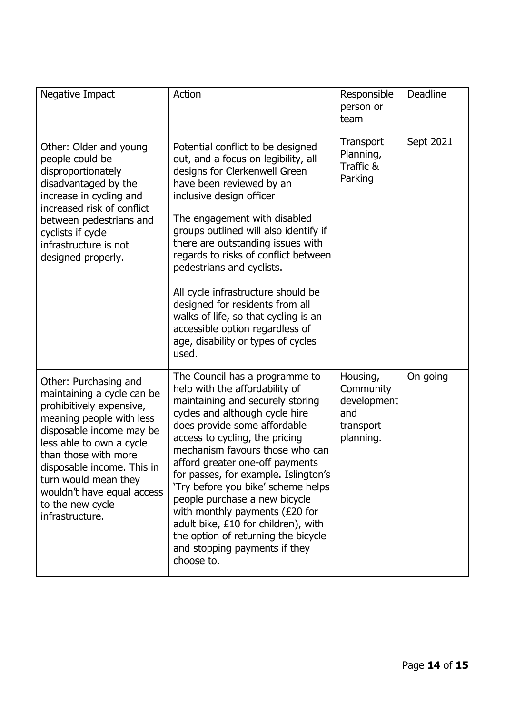| Negative Impact                                                                                                                                                                                                                                                                                                        | Action                                                                                                                                                                                                                                                                                                                                                                                                                                                                                                                                                         | Responsible<br>person or<br>team                                      | Deadline  |
|------------------------------------------------------------------------------------------------------------------------------------------------------------------------------------------------------------------------------------------------------------------------------------------------------------------------|----------------------------------------------------------------------------------------------------------------------------------------------------------------------------------------------------------------------------------------------------------------------------------------------------------------------------------------------------------------------------------------------------------------------------------------------------------------------------------------------------------------------------------------------------------------|-----------------------------------------------------------------------|-----------|
| Other: Older and young<br>people could be<br>disproportionately<br>disadvantaged by the<br>increase in cycling and<br>increased risk of conflict<br>between pedestrians and<br>cyclists if cycle<br>infrastructure is not<br>designed properly.                                                                        | Potential conflict to be designed<br>out, and a focus on legibility, all<br>designs for Clerkenwell Green<br>have been reviewed by an<br>inclusive design officer<br>The engagement with disabled<br>groups outlined will also identify if<br>there are outstanding issues with<br>regards to risks of conflict between<br>pedestrians and cyclists.<br>All cycle infrastructure should be<br>designed for residents from all<br>walks of life, so that cycling is an<br>accessible option regardless of<br>age, disability or types of cycles<br>used.        | Transport<br>Planning,<br>Traffic &<br>Parking                        | Sept 2021 |
| Other: Purchasing and<br>maintaining a cycle can be<br>prohibitively expensive,<br>meaning people with less<br>disposable income may be<br>less able to own a cycle<br>than those with more<br>disposable income. This in<br>turn would mean they<br>wouldn't have equal access<br>to the new cycle<br>infrastructure. | The Council has a programme to<br>help with the affordability of<br>maintaining and securely storing<br>cycles and although cycle hire<br>does provide some affordable<br>access to cycling, the pricing<br>mechanism favours those who can<br>afford greater one-off payments<br>for passes, for example. Islington's<br>'Try before you bike' scheme helps<br>people purchase a new bicycle<br>with monthly payments $(E20$ for<br>adult bike, £10 for children), with<br>the option of returning the bicycle<br>and stopping payments if they<br>choose to. | Housing,<br>Community<br>development<br>and<br>transport<br>planning. | On going  |